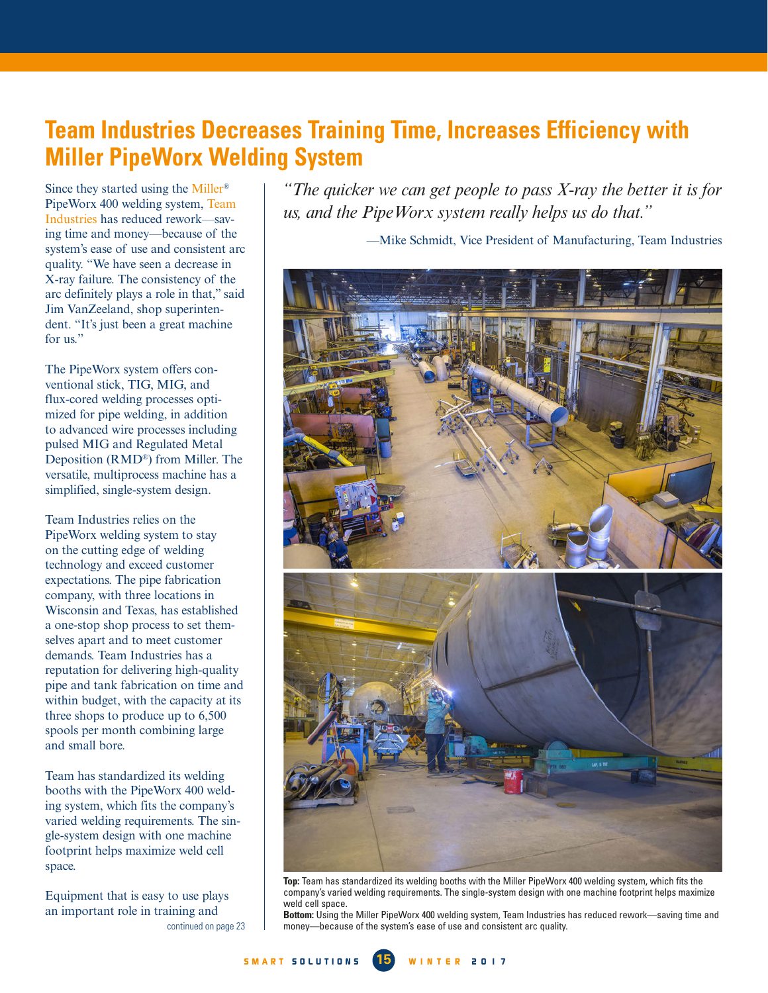## **Team Industries Decreases Training Time, Increases Efficiency with Miller PipeWorx Welding System**

Since they started using the Miller® PipeWorx 400 welding system, Team Industries has reduced rework—saving time and money—because of the system's ease of use and consistent arc quality. "We have seen a decrease in X-ray failure. The consistency of the arc definitely plays a role in that," said Jim VanZeeland, shop superintendent. "It's just been a great machine for us."

The PipeWorx system offers conventional stick, TIG, MIG, and flux-cored welding processes optimized for pipe welding, in addition to advanced wire processes including pulsed MIG and Regulated Metal Deposition (RMD®) from Miller. The versatile, multiprocess machine has a simplified, single-system design.

Team Industries relies on the PipeWorx welding system to stay on the cutting edge of welding technology and exceed customer expectations. The pipe fabrication company, with three locations in Wisconsin and Texas, has established a one-stop shop process to set themselves apart and to meet customer demands. Team Industries has a reputation for delivering high-quality pipe and tank fabrication on time and within budget, with the capacity at its three shops to produce up to 6,500 spools per month combining large and small bore.

Team has standardized its welding booths with the PipeWorx 400 welding system, which fits the company's varied welding requirements. The single-system design with one machine footprint helps maximize weld cell space.

Equipment that is easy to use plays an important role in training and

*"The quicker we can get people to pass X-ray the better it is for us, and the PipeWorx system really helps us do that."* 

—Mike Schmidt, Vice President of Manufacturing, Team Industries



**Top:** Team has standardized its welding booths with the Miller PipeWorx 400 welding system, which fits the company's varied welding requirements. The single-system design with one machine footprint helps maximize weld cell space.

**Bottom:** Using the Miller PipeWorx 400 welding system, Team Industries has reduced rework—saving time and [continued on page 23](#page--1-0) money—because of the system's ease of use and consistent arc quality.